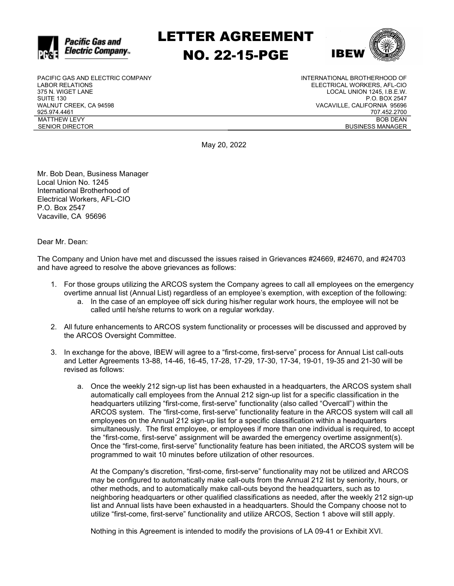

LETTER AGREEMENT NO. 22-15-PGE



PACIFIC GAS AND ELECTRIC COMPANY LABOR RELATIONS 375 N. WIGET LANE SUITE 130 WALNUT CREEK, CA 94598 925.974.4461 MATTHEW LEVY SENIOR DIRECTOR

INTERNATIONAL BROTHERHOOD OF ELECTRICAL WORKERS, AFL-CIO LOCAL UNION 1245, I.B.E.W. P.O. BOX 2547 VACAVILLE, CALIFORNIA 95696 707.452.2700 BOB DEAN BUSINESS MANAGER

May 20, 2022

Mr. Bob Dean, Business Manager Local Union No. 1245 International Brotherhood of Electrical Workers, AFL-CIO P.O. Box 2547 Vacaville, CA 95696

Dear Mr. Dean:

The Company and Union have met and discussed the issues raised in Grievances #24669, #24670, and #24703 and have agreed to resolve the above grievances as follows:

- 1. For those groups utilizing the ARCOS system the Company agrees to call all employees on the emergency overtime annual list (Annual List) regardless of an employee's exemption, with exception of the following:
	- a. In the case of an employee off sick during his/her regular work hours, the employee will not be called until he/she returns to work on a regular workday.
- 2. All future enhancements to ARCOS system functionality or processes will be discussed and approved by the ARCOS Oversight Committee.
- 3. In exchange for the above, IBEW will agree to a "first-come, first-serve" process for Annual List call-outs and Letter Agreements 13-88, 14-46, 16-45, 17-28, 17-29, 17-30, 17-34, 19-01, 19-35 and 21-30 will be revised as follows:
	- a. Once the weekly 212 sign-up list has been exhausted in a headquarters, the ARCOS system shall automatically call employees from the Annual 212 sign-up list for a specific classification in the headquarters utilizing "first-come, first-serve" functionality (also called "Overcall") within the ARCOS system. The "first-come, first-serve" functionality feature in the ARCOS system will call all employees on the Annual 212 sign-up list for a specific classification within a headquarters simultaneously. The first employee, or employees if more than one individual is required, to accept the "first-come, first-serve" assignment will be awarded the emergency overtime assignment(s). Once the "first-come, first-serve" functionality feature has been initiated, the ARCOS system will be programmed to wait 10 minutes before utilization of other resources.

At the Company's discretion, "first-come, first-serve" functionality may not be utilized and ARCOS may be configured to automatically make call-outs from the Annual 212 list by seniority, hours, or other methods, and to automatically make call-outs beyond the headquarters, such as to neighboring headquarters or other qualified classifications as needed, after the weekly 212 sign-up list and Annual lists have been exhausted in a headquarters. Should the Company choose not to utilize "first-come, first-serve" functionality and utilize ARCOS, Section 1 above will still apply.

Nothing in this Agreement is intended to modify the provisions of LA 09-41 or Exhibit XVI.